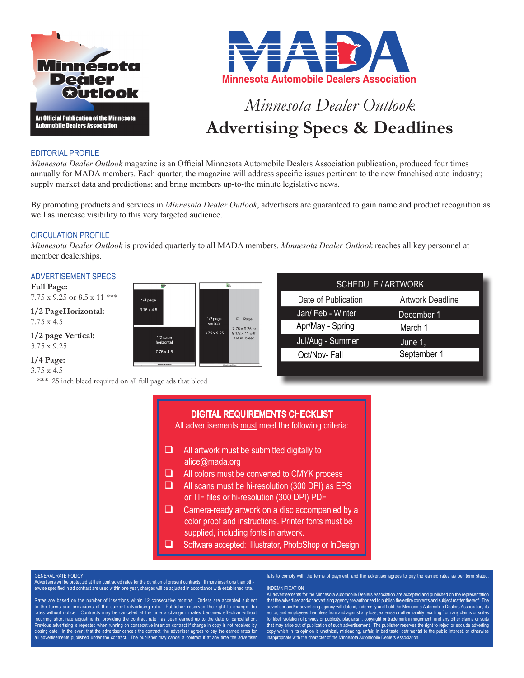



# *Minnesota Dealer Outlook* **Advertising Specs & Deadlines**

## EDITORIAL PROFILE

*Minnesota Dealer Outlook* magazine is an Official Minnesota Automobile Dealers Association publication, produced four times annually for MADA members. Each quarter, the magazine will address specific issues pertinent to the new franchised auto industry; supply market data and predictions; and bring members up-to-the minute legislative news.

By promoting products and services in *Minnesota Dealer Outlook*, advertisers are guaranteed to gain name and product recognition as well as increase visibility to this very targeted audience.

## CIRCULATION PROFILE

*Minnesota Dealer Outlook* is provided quarterly to all MADA members. *Minnesota Dealer Outlook* reaches all key personnel at member dealerships.

> Full Page 7.75 x 9.25 or

> 8 1/2 x 11 with  $1/4$  in head

 $1/2$  page

 $3.75 \times 9.25$ 

## ADVERTISEMENT SPECS

**Full Page:**  $7.75$  x  $9.25$  or  $8.5$  x  $11$  \*\*\*

**1/2 PageHorizontal:** 7.75 x 4.5

**1/2 page Vertical:** 3.75 x 9.25

## **1/4 Page:**

3.75 x 4.5

\*\*\* .25 inch bleed required on all full page ads that bleed

 $1/4$  page  $3.75 \times 4.5$ 

> 1/2 page<br>horizontal  $7.75 \times 4.5$

| <b>SCHEDULE / ARTWORK</b> |  |  |  |  |  |  |  |
|---------------------------|--|--|--|--|--|--|--|
| <b>Artwork Deadline</b>   |  |  |  |  |  |  |  |
| December 1                |  |  |  |  |  |  |  |
| March 1                   |  |  |  |  |  |  |  |
| June 1,                   |  |  |  |  |  |  |  |
| September 1               |  |  |  |  |  |  |  |
|                           |  |  |  |  |  |  |  |

# DIGITAL REQUIREMENTS CHECKLIST

All advertisements must meet the following criteria:

- $\Box$  All artwork must be submitted digitally to alice@mada.org
- $\Box$  All colors must be converted to CMYK process
- $\Box$  All scans must be hi-resolution (300 DPI) as EPS or TIF files or hi-resolution (300 DPI) PDF
- $\Box$  Camera-ready artwork on a disc accompanied by a color proof and instructions. Printer fonts must be supplied, including fonts in artwork.
- G Software accepted: Illustrator, PhotoShop or InDesign

#### ENERAL RATE POLICY

Advertisers will be protected at their contracted rates for the duration of present contracts. If more insertions than otherwise specified in ad contract are used within one year, charges will be adjusted in accordance with established rate.

Rates are based on the number of insertions within 12 consecutive months. Orders are accepted subject to the terms and provisions of the current advertising rate. Publisher reserves the right to change the rates without notice. Contracts may be canceled at the time a change in rates becomes effective without incurring short rate adjustments, providing the contract rate has been earned up to the date of cancellation. Previous advertising is repeated when running on consecutive insertion contract if change in copy is not received by<br>closing date. In the event that the advertiser cancels the contract, the advertiser agrees to pay the ear all advertisements published under the contract. The publisher may cancel a contract if at any time the advertiser

fails to comply with the terms of payment, and the advertiser agrees to pay the earned rates as per term stated.

#### INDEMNIFICATION

All advertisements for the Minnesota Automobile Dealers Association are accepted and published on the repres that the advertiser and/or advertising agency are authorized to publish the entire contents and subject matter thereof. The advertiser and/or advertising agency will defend, indemnify and hold the Minnesota Automobile Dealers Association, its<br>editor, and employees, harmless from and against any loss, expense or other liability resulting from an for libel, violation of privacy or publicity, plagiarism, copyright or trademark infringement, and any other claims or suits that may arise out of publication of such advertisement. The publisher reserves the right to reject or exclude adverting<br>copy which in its opinion is unethical, misleading, unfair, in bad taste, detrimental to the public i inappropriate with the character of the Minnesota Automobile Dealers Association.